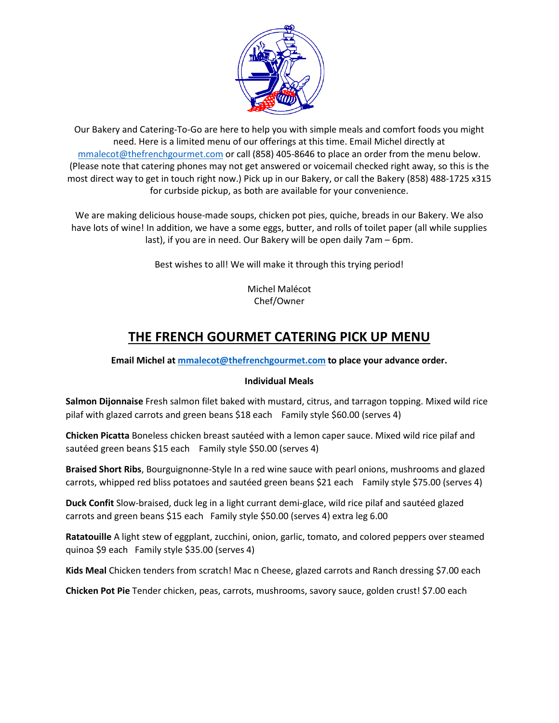

Our Bakery and Catering-To-Go are here to help you with simple meals and comfort foods you might need. Here is a limited menu of our offerings at this time. Email Michel directly at [mmalecot@thefrenchgourmet.com](mailto:mmalecot@thefrenchgourmet.com) or call (858) 405-8646 to place an order from the menu below. (Please note that catering phones may not get answered or voicemail checked right away, so this is the most direct way to get in touch right now.) Pick up in our Bakery, or call the Bakery (858) 488-1725 x315 for curbside pickup, as both are available for your convenience.

We are making delicious house-made soups, chicken pot pies, quiche, breads in our Bakery. We also have lots of wine! In addition, we have a some eggs, butter, and rolls of toilet paper (all while supplies last), if you are in need. Our Bakery will be open daily 7am – 6pm.

Best wishes to all! We will make it through this trying period!

Michel Malécot Chef/Owner

# **THE FRENCH GOURMET CATERING PICK UP MENU**

# **Email Michel at [mmalecot@thefrenchgourmet.com](mailto:mmalecot@thefrenchgourmet.com) to place your advance order.**

## **Individual Meals**

**Salmon Dijonnaise** Fresh salmon filet baked with mustard, citrus, and tarragon topping. Mixed wild rice pilaf with glazed carrots and green beans \$18 each Family style \$60.00 (serves 4)

**Chicken Picatta** Boneless chicken breast sautéed with a lemon caper sauce. Mixed wild rice pilaf and sautéed green beans \$15 each Family style \$50.00 (serves 4)

**Braised Short Ribs**, Bourguignonne-Style In a red wine sauce with pearl onions, mushrooms and glazed carrots, whipped red bliss potatoes and sautéed green beans \$21 each Family style \$75.00 (serves 4)

**Duck Confit** Slow-braised, duck leg in a light currant demi-glace, wild rice pilaf and sautéed glazed carrots and green beans \$15 each Family style \$50.00 (serves 4) extra leg 6.00

**Ratatouille** A light stew of eggplant, zucchini, onion, garlic, tomato, and colored peppers over steamed quinoa \$9 each Family style \$35.00 (serves 4)

**Kids Meal** Chicken tenders from scratch! Mac n Cheese, glazed carrots and Ranch dressing \$7.00 each

**Chicken Pot Pie** Tender chicken, peas, carrots, mushrooms, savory sauce, golden crust! \$7.00 each